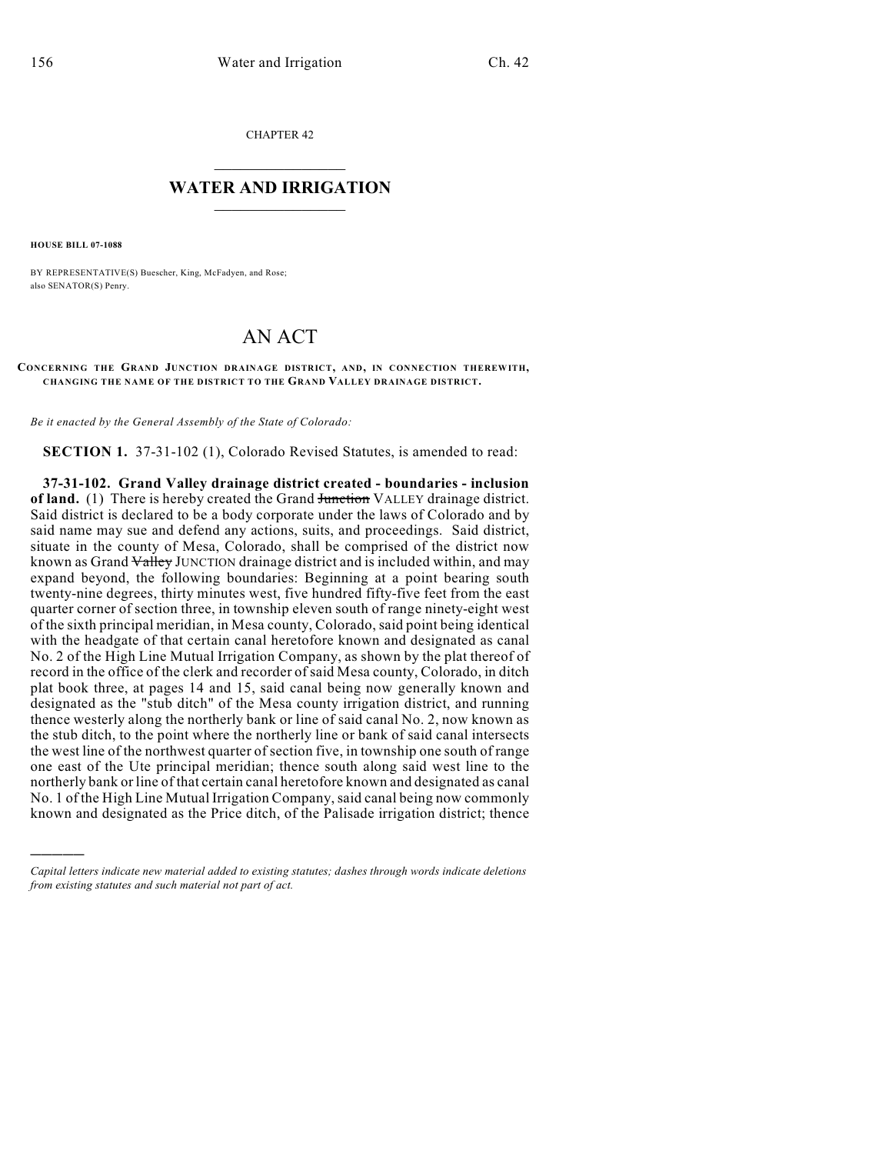CHAPTER 42

## $\mathcal{L}_\text{max}$  . The set of the set of the set of the set of the set of the set of the set of the set of the set of the set of the set of the set of the set of the set of the set of the set of the set of the set of the set **WATER AND IRRIGATION**  $\_$   $\_$

**HOUSE BILL 07-1088**

)))))

BY REPRESENTATIVE(S) Buescher, King, McFadyen, and Rose; also SENATOR(S) Penry.

## AN ACT

**CONCERNING THE GRAND JUNCTION DRAINAGE DISTRICT, AND, IN CONNECTION THEREWITH, CHANGING THE NAME OF THE DISTRICT TO THE GRAND VALLEY DRAINAGE DISTRICT.**

*Be it enacted by the General Assembly of the State of Colorado:*

**SECTION 1.** 37-31-102 (1), Colorado Revised Statutes, is amended to read:

**37-31-102. Grand Valley drainage district created - boundaries - inclusion of land.** (1) There is hereby created the Grand Junction VALLEY drainage district. Said district is declared to be a body corporate under the laws of Colorado and by said name may sue and defend any actions, suits, and proceedings. Said district, situate in the county of Mesa, Colorado, shall be comprised of the district now known as Grand Valley JUNCTION drainage district and is included within, and may expand beyond, the following boundaries: Beginning at a point bearing south twenty-nine degrees, thirty minutes west, five hundred fifty-five feet from the east quarter corner of section three, in township eleven south of range ninety-eight west of the sixth principal meridian, in Mesa county, Colorado, said point being identical with the headgate of that certain canal heretofore known and designated as canal No. 2 of the High Line Mutual Irrigation Company, as shown by the plat thereof of record in the office of the clerk and recorder of said Mesa county, Colorado, in ditch plat book three, at pages 14 and 15, said canal being now generally known and designated as the "stub ditch" of the Mesa county irrigation district, and running thence westerly along the northerly bank or line of said canal No. 2, now known as the stub ditch, to the point where the northerly line or bank of said canal intersects the west line of the northwest quarter of section five, in township one south of range one east of the Ute principal meridian; thence south along said west line to the northerly bank or line of that certain canal heretofore known and designated as canal No. 1 of the High Line Mutual Irrigation Company, said canal being now commonly known and designated as the Price ditch, of the Palisade irrigation district; thence

*Capital letters indicate new material added to existing statutes; dashes through words indicate deletions from existing statutes and such material not part of act.*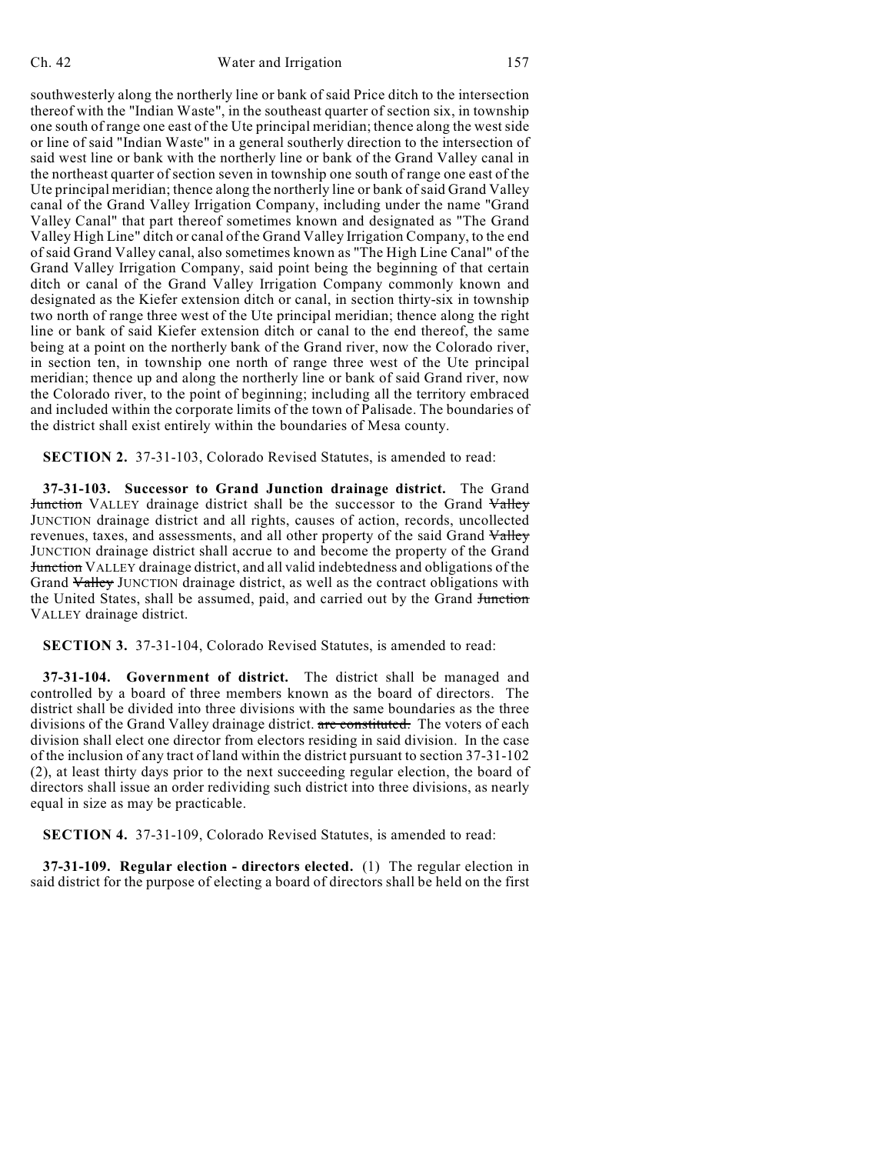southwesterly along the northerly line or bank of said Price ditch to the intersection thereof with the "Indian Waste", in the southeast quarter of section six, in township one south of range one east of the Ute principal meridian; thence along the west side or line of said "Indian Waste" in a general southerly direction to the intersection of said west line or bank with the northerly line or bank of the Grand Valley canal in the northeast quarter of section seven in township one south of range one east of the Ute principal meridian; thence along the northerly line or bank of said Grand Valley canal of the Grand Valley Irrigation Company, including under the name "Grand Valley Canal" that part thereof sometimes known and designated as "The Grand Valley High Line" ditch or canal of the Grand Valley Irrigation Company, to the end of said Grand Valley canal, also sometimes known as "The High Line Canal" of the Grand Valley Irrigation Company, said point being the beginning of that certain ditch or canal of the Grand Valley Irrigation Company commonly known and designated as the Kiefer extension ditch or canal, in section thirty-six in township two north of range three west of the Ute principal meridian; thence along the right line or bank of said Kiefer extension ditch or canal to the end thereof, the same being at a point on the northerly bank of the Grand river, now the Colorado river, in section ten, in township one north of range three west of the Ute principal meridian; thence up and along the northerly line or bank of said Grand river, now the Colorado river, to the point of beginning; including all the territory embraced and included within the corporate limits of the town of Palisade. The boundaries of the district shall exist entirely within the boundaries of Mesa county.

**SECTION 2.** 37-31-103, Colorado Revised Statutes, is amended to read:

**37-31-103. Successor to Grand Junction drainage district.** The Grand Junction VALLEY drainage district shall be the successor to the Grand Valley JUNCTION drainage district and all rights, causes of action, records, uncollected revenues, taxes, and assessments, and all other property of the said Grand Valley JUNCTION drainage district shall accrue to and become the property of the Grand Junction VALLEY drainage district, and all valid indebtedness and obligations of the Grand Valley JUNCTION drainage district, as well as the contract obligations with the United States, shall be assumed, paid, and carried out by the Grand Junction VALLEY drainage district.

**SECTION 3.** 37-31-104, Colorado Revised Statutes, is amended to read:

**37-31-104. Government of district.** The district shall be managed and controlled by a board of three members known as the board of directors. The district shall be divided into three divisions with the same boundaries as the three divisions of the Grand Valley drainage district. are constituted. The voters of each division shall elect one director from electors residing in said division. In the case of the inclusion of any tract of land within the district pursuant to section 37-31-102 (2), at least thirty days prior to the next succeeding regular election, the board of directors shall issue an order redividing such district into three divisions, as nearly equal in size as may be practicable.

**SECTION 4.** 37-31-109, Colorado Revised Statutes, is amended to read:

**37-31-109. Regular election - directors elected.** (1) The regular election in said district for the purpose of electing a board of directors shall be held on the first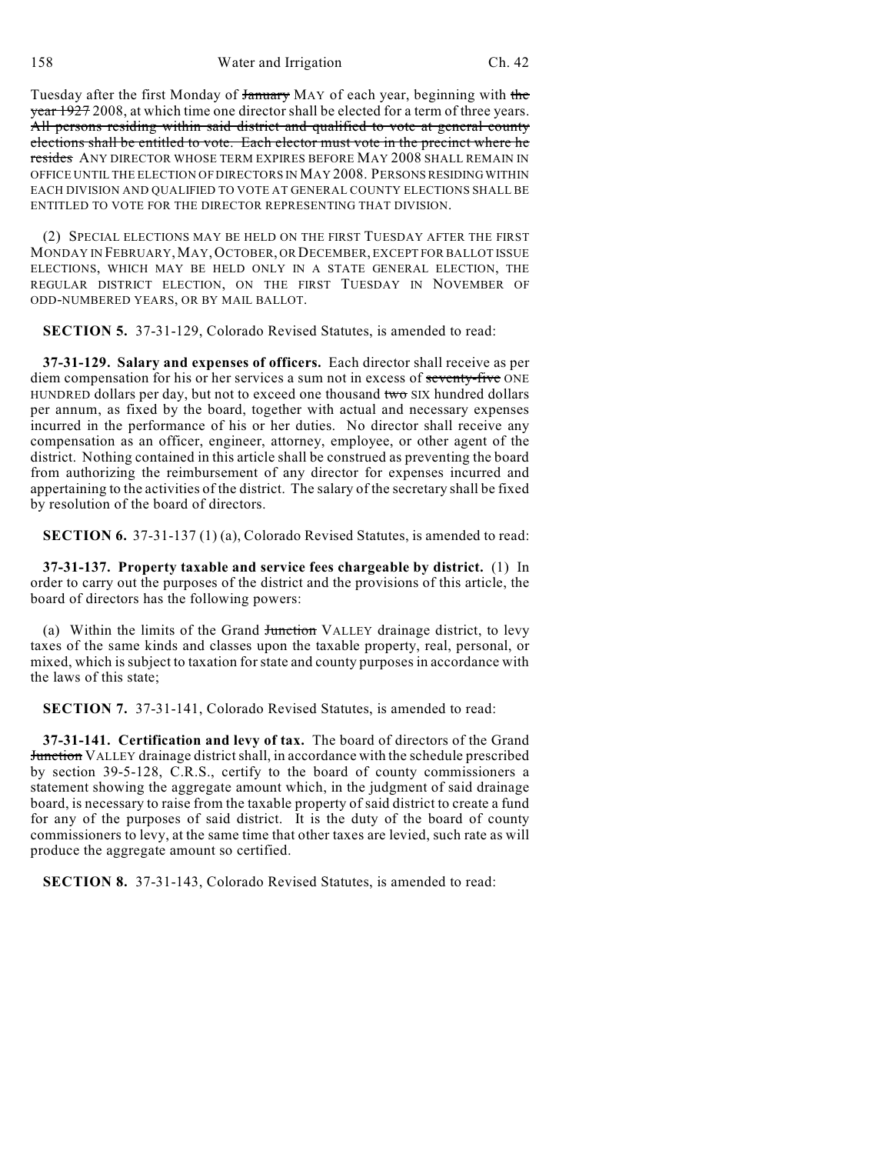Tuesday after the first Monday of January MAY of each year, beginning with the year 1927 2008, at which time one director shall be elected for a term of three years. All persons residing within said district and qualified to vote at general county elections shall be entitled to vote. Each elector must vote in the precinct where he resides ANY DIRECTOR WHOSE TERM EXPIRES BEFORE MAY 2008 SHALL REMAIN IN OFFICE UNTIL THE ELECTION OF DIRECTORS IN MAY 2008. PERSONS RESIDING WITHIN EACH DIVISION AND QUALIFIED TO VOTE AT GENERAL COUNTY ELECTIONS SHALL BE ENTITLED TO VOTE FOR THE DIRECTOR REPRESENTING THAT DIVISION.

(2) SPECIAL ELECTIONS MAY BE HELD ON THE FIRST TUESDAY AFTER THE FIRST MONDAY IN FEBRUARY, MAY, OCTOBER, OR DECEMBER, EXCEPT FOR BALLOT ISSUE ELECTIONS, WHICH MAY BE HELD ONLY IN A STATE GENERAL ELECTION, THE REGULAR DISTRICT ELECTION, ON THE FIRST TUESDAY IN NOVEMBER OF ODD-NUMBERED YEARS, OR BY MAIL BALLOT.

**SECTION 5.** 37-31-129, Colorado Revised Statutes, is amended to read:

**37-31-129. Salary and expenses of officers.** Each director shall receive as per diem compensation for his or her services a sum not in excess of seventy-five ONE HUNDRED dollars per day, but not to exceed one thousand two SIX hundred dollars per annum, as fixed by the board, together with actual and necessary expenses incurred in the performance of his or her duties. No director shall receive any compensation as an officer, engineer, attorney, employee, or other agent of the district. Nothing contained in this article shall be construed as preventing the board from authorizing the reimbursement of any director for expenses incurred and appertaining to the activities of the district. The salary of the secretary shall be fixed by resolution of the board of directors.

**SECTION 6.** 37-31-137 (1) (a), Colorado Revised Statutes, is amended to read:

**37-31-137. Property taxable and service fees chargeable by district.** (1) In order to carry out the purposes of the district and the provisions of this article, the board of directors has the following powers:

(a) Within the limits of the Grand Junction VALLEY drainage district, to levy taxes of the same kinds and classes upon the taxable property, real, personal, or mixed, which is subject to taxation for state and county purposes in accordance with the laws of this state;

**SECTION 7.** 37-31-141, Colorado Revised Statutes, is amended to read:

**37-31-141. Certification and levy of tax.** The board of directors of the Grand **Junction** VALLEY drainage district shall, in accordance with the schedule prescribed by section 39-5-128, C.R.S., certify to the board of county commissioners a statement showing the aggregate amount which, in the judgment of said drainage board, is necessary to raise from the taxable property of said district to create a fund for any of the purposes of said district. It is the duty of the board of county commissioners to levy, at the same time that other taxes are levied, such rate as will produce the aggregate amount so certified.

**SECTION 8.** 37-31-143, Colorado Revised Statutes, is amended to read: